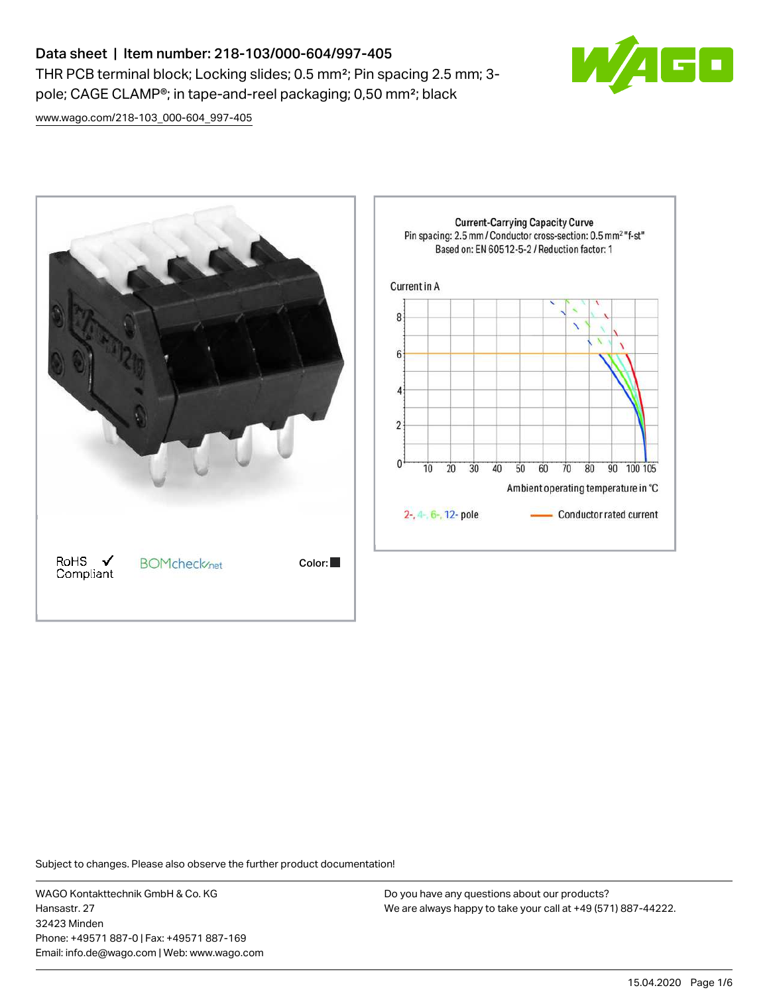# Data sheet | Item number: 218-103/000-604/997-405 THR PCB terminal block; Locking slides; 0.5 mm²; Pin spacing 2.5 mm; 3 pole; CAGE CLAMP®; in tape-and-reel packaging; 0,50 mm²; black



[www.wago.com/218-103\\_000-604\\_997-405](http://www.wago.com/218-103_000-604_997-405)



Subject to changes. Please also observe the further product documentation!

WAGO Kontakttechnik GmbH & Co. KG Hansastr. 27 32423 Minden Phone: +49571 887-0 | Fax: +49571 887-169 Email: info.de@wago.com | Web: www.wago.com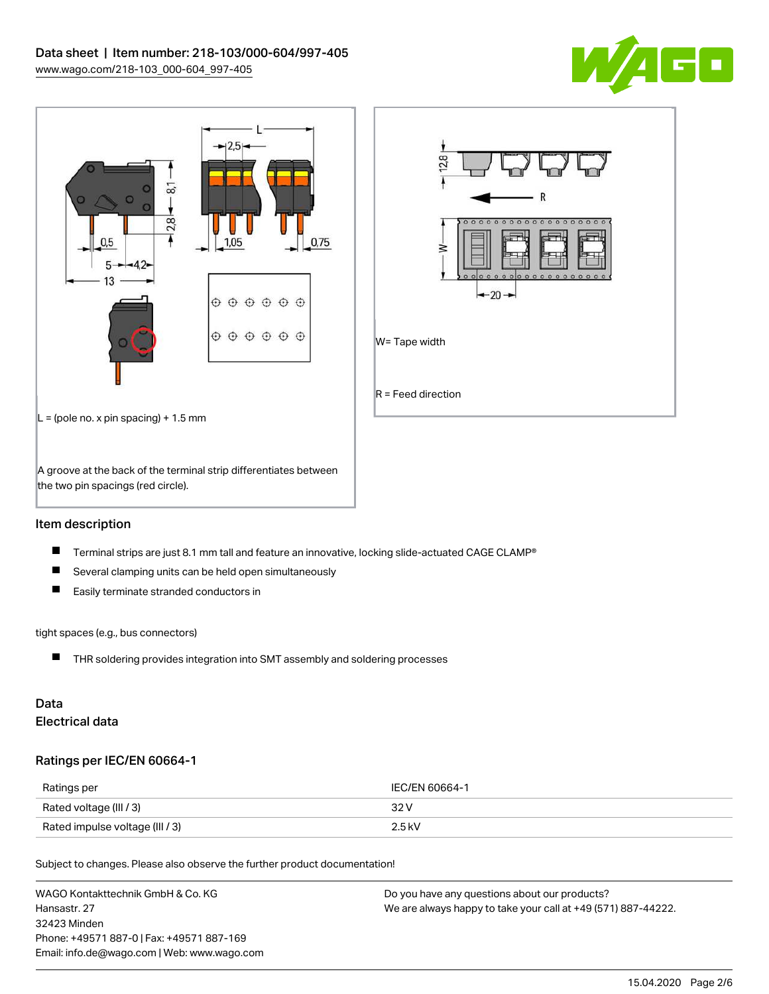





### Item description

- $\blacksquare$ Terminal strips are just 8.1 mm tall and feature an innovative, locking slide-actuated CAGE CLAMP®
- $\blacksquare$ Several clamping units can be held open simultaneously
- $\blacksquare$ Easily terminate stranded conductors in

#### tight spaces (e.g., bus connectors)

■ THR soldering provides integration into SMT assembly and soldering processes

## Data Electrical data

### Ratings per IEC/EN 60664-1

| Ratings per                     | IEC/EN 60664-1 |
|---------------------------------|----------------|
| Rated voltage (III / 3)         | 32 V           |
| Rated impulse voltage (III / 3) | $2.5$ kV       |

Subject to changes. Please also observe the further product documentation!

| WAGO Kontakttechnik GmbH & Co. KG           | Do you have any questions about our products?                 |
|---------------------------------------------|---------------------------------------------------------------|
| Hansastr, 27                                | We are always happy to take your call at +49 (571) 887-44222. |
| 32423 Minden                                |                                                               |
| Phone: +49571 887-01 Fax: +49571 887-169    |                                                               |
| Email: info.de@wago.com   Web: www.wago.com |                                                               |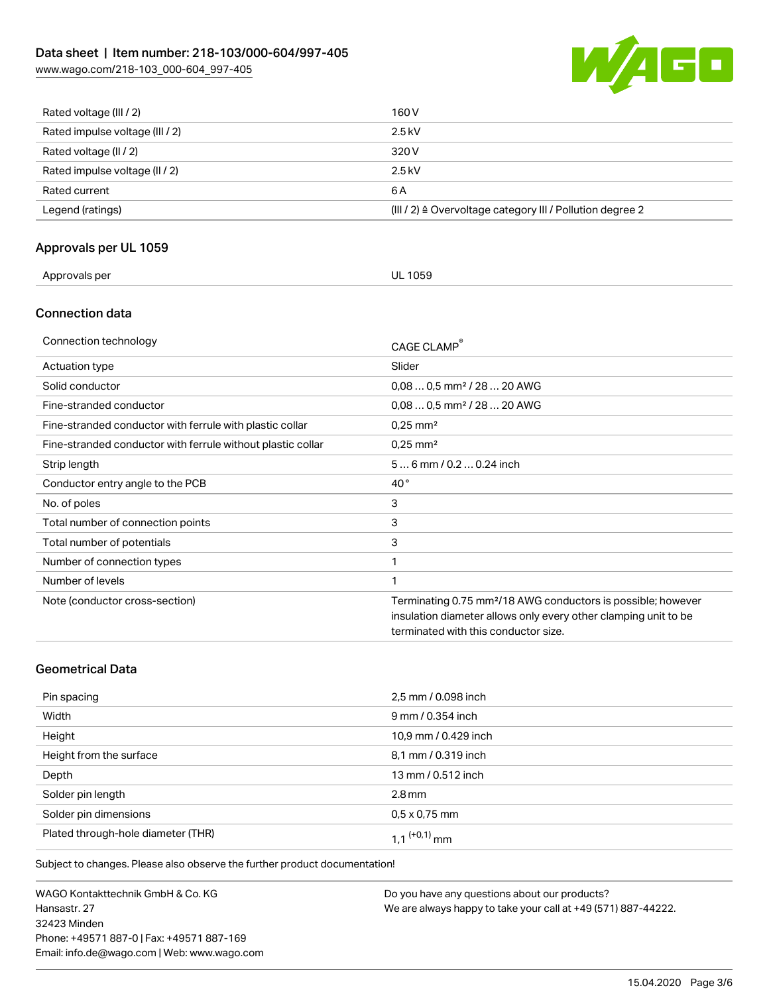# Data sheet | Item number: 218-103/000-604/997-405

[www.wago.com/218-103\\_000-604\\_997-405](http://www.wago.com/218-103_000-604_997-405)



| Rated voltage (III / 2)         | 160 V                                                                |
|---------------------------------|----------------------------------------------------------------------|
| Rated impulse voltage (III / 2) | $2.5$ kV                                                             |
| Rated voltage (II / 2)          | 320 V                                                                |
| Rated impulse voltage (II / 2)  | $2.5$ kV                                                             |
| Rated current                   | 6 A                                                                  |
| Legend (ratings)                | (III / 2) $\triangleq$ Overvoltage category III / Pollution degree 2 |

## Approvals per UL 1059

| Approvals per<br><b>UL 1059</b> |  |
|---------------------------------|--|
|---------------------------------|--|

#### Connection data

| Connection technology                                       | CAGE CLAMP®                                                                                                                                                                         |
|-------------------------------------------------------------|-------------------------------------------------------------------------------------------------------------------------------------------------------------------------------------|
| Actuation type                                              | Slider                                                                                                                                                                              |
| Solid conductor                                             | $0.080.5$ mm <sup>2</sup> / 28  20 AWG                                                                                                                                              |
| Fine-stranded conductor                                     | $0.080.5$ mm <sup>2</sup> / 28  20 AWG                                                                                                                                              |
| Fine-stranded conductor with ferrule with plastic collar    | $0.25$ mm <sup>2</sup>                                                                                                                                                              |
| Fine-stranded conductor with ferrule without plastic collar | $0.25$ mm <sup>2</sup>                                                                                                                                                              |
| Strip length                                                | $56$ mm / 0.2  0.24 inch                                                                                                                                                            |
| Conductor entry angle to the PCB                            | $40^{\circ}$                                                                                                                                                                        |
| No. of poles                                                | 3                                                                                                                                                                                   |
| Total number of connection points                           | 3                                                                                                                                                                                   |
| Total number of potentials                                  | 3                                                                                                                                                                                   |
| Number of connection types                                  | 1                                                                                                                                                                                   |
| Number of levels                                            | 1                                                                                                                                                                                   |
| Note (conductor cross-section)                              | Terminating 0.75 mm <sup>2</sup> /18 AWG conductors is possible; however<br>insulation diameter allows only every other clamping unit to be<br>terminated with this conductor size. |

## Geometrical Data

| Pin spacing                        | 2,5 mm / 0.098 inch  |
|------------------------------------|----------------------|
| Width                              | 9 mm / 0.354 inch    |
| Height                             | 10,9 mm / 0.429 inch |
| Height from the surface            | 8,1 mm / 0.319 inch  |
| Depth                              | 13 mm / 0.512 inch   |
| Solder pin length                  | $2.8 \,\mathrm{mm}$  |
| Solder pin dimensions              | $0.5 \times 0.75$ mm |
| Plated through-hole diameter (THR) | 1 1 $(0.1)$ mm       |

Subject to changes. Please also observe the further product documentation!

WAGO Kontakttechnik GmbH & Co. KG Hansastr. 27 32423 Minden Phone: +49571 887-0 | Fax: +49571 887-169 Email: info.de@wago.com | Web: www.wago.com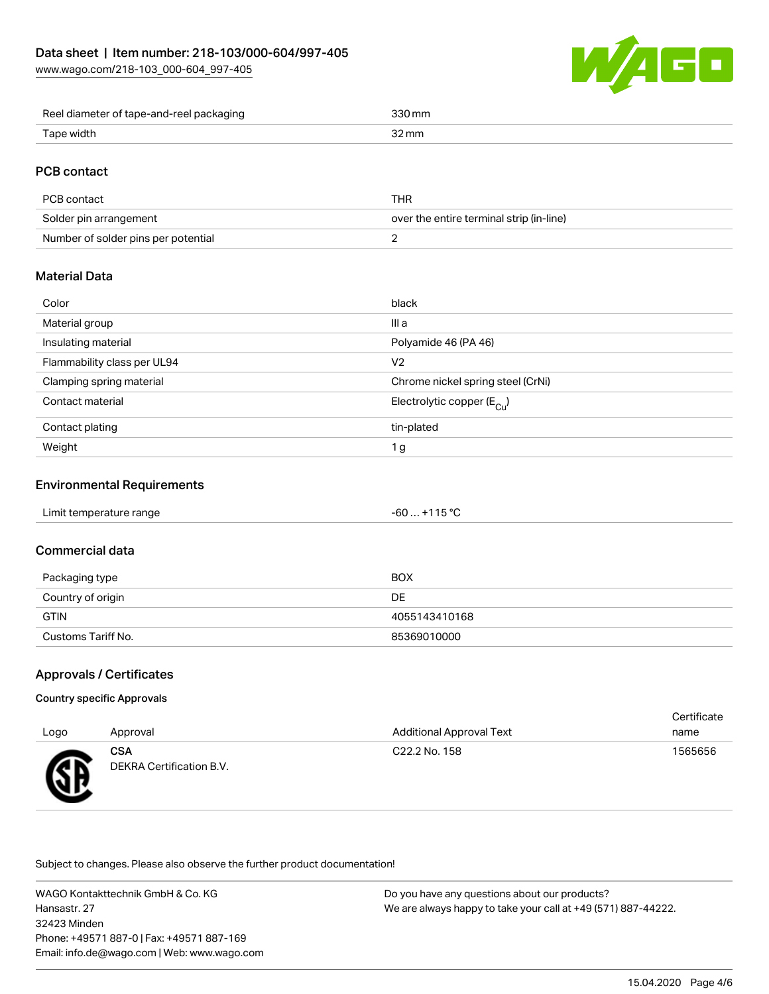[www.wago.com/218-103\\_000-604\\_997-405](http://www.wago.com/218-103_000-604_997-405)



| Reel diameter of tape-and-reel packaging | `30 mm |
|------------------------------------------|--------|
| Tape width                               | 2 mn   |

## PCB contact

| PCB contact                         | THR                                      |
|-------------------------------------|------------------------------------------|
| Solder pin arrangement              | over the entire terminal strip (in-line) |
| Number of solder pins per potential |                                          |

## Material Data

| III a<br>Material group<br>Insulating material<br>Polyamide 46 (PA 46)<br>Flammability class per UL94<br>V <sub>2</sub><br>Clamping spring material<br>Chrome nickel spring steel (CrNi)<br>Contact material<br>Electrolytic copper ( $E_{\text{Cu}}$ ) |
|---------------------------------------------------------------------------------------------------------------------------------------------------------------------------------------------------------------------------------------------------------|
|                                                                                                                                                                                                                                                         |
|                                                                                                                                                                                                                                                         |
|                                                                                                                                                                                                                                                         |
|                                                                                                                                                                                                                                                         |
|                                                                                                                                                                                                                                                         |
| Contact plating<br>tin-plated                                                                                                                                                                                                                           |
| Weight<br>1 <sub>g</sub>                                                                                                                                                                                                                                |

## Environmental Requirements

| Limit temperature range | $-60+115 °C$ |
|-------------------------|--------------|
|-------------------------|--------------|

#### Commercial data

| Packaging type     | BOX           |
|--------------------|---------------|
| Country of origin  | DE            |
| <b>GTIN</b>        | 4055143410168 |
| Customs Tariff No. | 85369010000   |

#### Approvals / Certificates

#### Country specific Approvals

| Logo            | Approval                        | <b>Additional Approval Text</b> | Certificate<br>name |
|-----------------|---------------------------------|---------------------------------|---------------------|
| <b>RD</b><br>~~ | CSA<br>DEKRA Certification B.V. | C22.2 No. 158                   | 1565656             |

Subject to changes. Please also observe the further product documentation!

WAGO Kontakttechnik GmbH & Co. KG Hansastr. 27 32423 Minden Phone: +49571 887-0 | Fax: +49571 887-169 Email: info.de@wago.com | Web: www.wago.com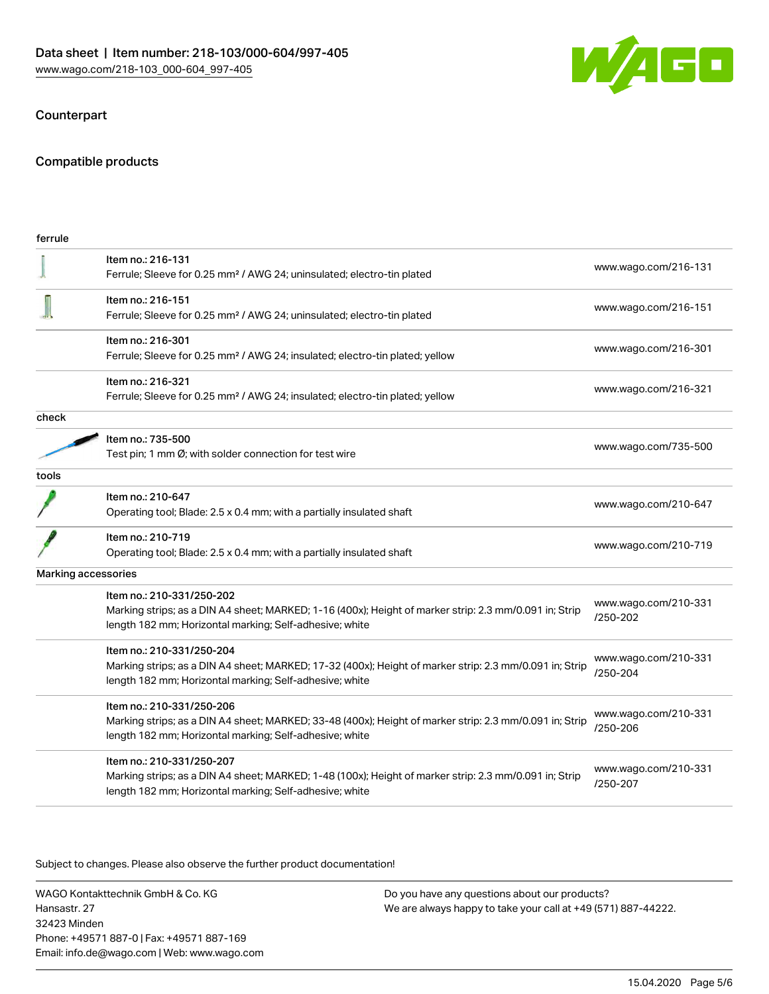

### Counterpart

## Compatible products

| ferrule |                                                                                                                                                                                                 |                                  |
|---------|-------------------------------------------------------------------------------------------------------------------------------------------------------------------------------------------------|----------------------------------|
|         | Item no.: 216-131<br>Ferrule; Sleeve for 0.25 mm <sup>2</sup> / AWG 24; uninsulated; electro-tin plated                                                                                         | www.wago.com/216-131             |
|         | Item no.: 216-151<br>Ferrule; Sleeve for 0.25 mm <sup>2</sup> / AWG 24; uninsulated; electro-tin plated                                                                                         | www.wago.com/216-151             |
|         | Item no.: 216-301<br>Ferrule; Sleeve for 0.25 mm <sup>2</sup> / AWG 24; insulated; electro-tin plated; yellow                                                                                   | www.wago.com/216-301             |
|         | Item no.: 216-321<br>Ferrule; Sleeve for 0.25 mm <sup>2</sup> / AWG 24; insulated; electro-tin plated; yellow                                                                                   | www.wago.com/216-321             |
| check   |                                                                                                                                                                                                 |                                  |
|         | Item no.: 735-500<br>Test pin; 1 mm Ø; with solder connection for test wire                                                                                                                     | www.wago.com/735-500             |
| tools   |                                                                                                                                                                                                 |                                  |
|         | Item no.: 210-647<br>Operating tool; Blade: 2.5 x 0.4 mm; with a partially insulated shaft                                                                                                      | www.wago.com/210-647             |
|         | Item no.: 210-719<br>Operating tool; Blade: 2.5 x 0.4 mm; with a partially insulated shaft                                                                                                      | www.wago.com/210-719             |
|         | Marking accessories                                                                                                                                                                             |                                  |
|         | Item no.: 210-331/250-202<br>Marking strips; as a DIN A4 sheet; MARKED; 1-16 (400x); Height of marker strip: 2.3 mm/0.091 in; Strip<br>length 182 mm; Horizontal marking; Self-adhesive; white  | www.wago.com/210-331<br>/250-202 |
|         | Item no.: 210-331/250-204<br>Marking strips; as a DIN A4 sheet; MARKED; 17-32 (400x); Height of marker strip: 2.3 mm/0.091 in; Strip<br>length 182 mm; Horizontal marking; Self-adhesive; white | www.wago.com/210-331<br>/250-204 |
|         | Item no.: 210-331/250-206<br>Marking strips; as a DIN A4 sheet; MARKED; 33-48 (400x); Height of marker strip: 2.3 mm/0.091 in; Strip<br>length 182 mm; Horizontal marking; Self-adhesive; white | www.wago.com/210-331<br>/250-206 |
|         | Item no.: 210-331/250-207<br>Marking strips; as a DIN A4 sheet; MARKED; 1-48 (100x); Height of marker strip: 2.3 mm/0.091 in; Strip<br>length 182 mm; Horizontal marking; Self-adhesive; white  | www.wago.com/210-331<br>/250-207 |
|         |                                                                                                                                                                                                 |                                  |

.<br>Subject to changes. Please also observe the further product documentation!

WAGO Kontakttechnik GmbH & Co. KG Hansastr. 27 32423 Minden Phone: +49571 887-0 | Fax: +49571 887-169 Email: info.de@wago.com | Web: www.wago.com